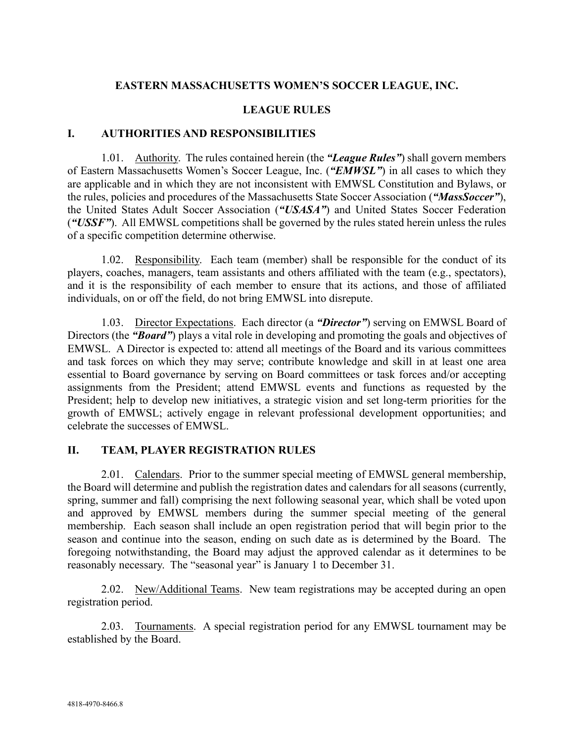## **EASTERN MASSACHUSETTS WOMEN'S SOCCER LEAGUE, INC.**

## **LEAGUE RULES**

#### **I. AUTHORITIES AND RESPONSIBILITIES**

1.01. Authority. The rules contained herein (the *"League Rules"*) shall govern members of Eastern Massachusetts Women's Soccer League, Inc. (*"EMWSL"*) in all cases to which they are applicable and in which they are not inconsistent with EMWSL Constitution and Bylaws, or the rules, policies and procedures of the Massachusetts State Soccer Association (*"MassSoccer"*), the United States Adult Soccer Association (*"USASA"*) and United States Soccer Federation (*"USSF"*). All EMWSL competitions shall be governed by the rules stated herein unless the rules of a specific competition determine otherwise.

1.02. Responsibility. Each team (member) shall be responsible for the conduct of its players, coaches, managers, team assistants and others affiliated with the team (e.g., spectators), and it is the responsibility of each member to ensure that its actions, and those of affiliated individuals, on or off the field, do not bring EMWSL into disrepute.

1.03. Director Expectations. Each director (a *"Director"*) serving on EMWSL Board of Directors (the *"Board"*) plays a vital role in developing and promoting the goals and objectives of EMWSL. A Director is expected to: attend all meetings of the Board and its various committees and task forces on which they may serve; contribute knowledge and skill in at least one area essential to Board governance by serving on Board committees or task forces and/or accepting assignments from the President; attend EMWSL events and functions as requested by the President; help to develop new initiatives, a strategic vision and set long-term priorities for the growth of EMWSL; actively engage in relevant professional development opportunities; and celebrate the successes of EMWSL.

## **II. TEAM, PLAYER REGISTRATION RULES**

2.01. Calendars. Prior to the summer special meeting of EMWSL general membership, the Board will determine and publish the registration dates and calendars for all seasons (currently, spring, summer and fall) comprising the next following seasonal year, which shall be voted upon and approved by EMWSL members during the summer special meeting of the general membership. Each season shall include an open registration period that will begin prior to the season and continue into the season, ending on such date as is determined by the Board. The foregoing notwithstanding, the Board may adjust the approved calendar as it determines to be reasonably necessary. The "seasonal year" is January 1 to December 31.

2.02. New/Additional Teams. New team registrations may be accepted during an open registration period.

2.03. Tournaments. A special registration period for any EMWSL tournament may be established by the Board.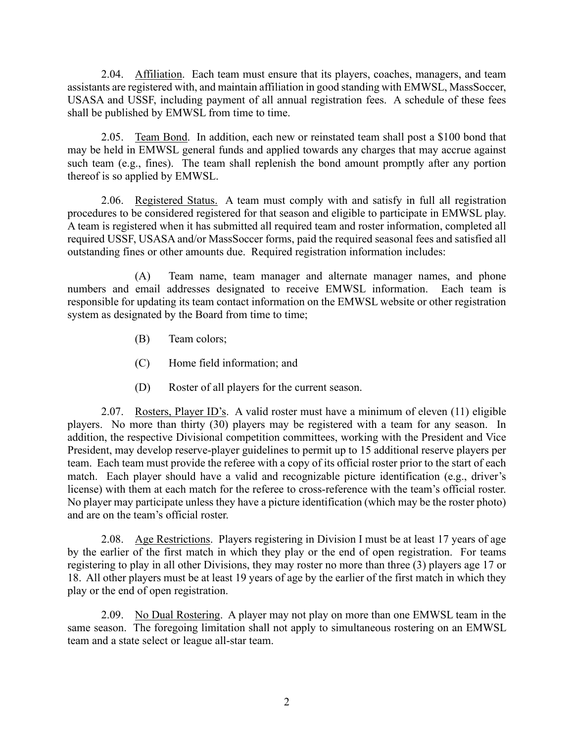2.04. Affiliation. Each team must ensure that its players, coaches, managers, and team assistants are registered with, and maintain affiliation in good standing with EMWSL, MassSoccer, USASA and USSF, including payment of all annual registration fees. A schedule of these fees shall be published by EMWSL from time to time.

2.05. Team Bond. In addition, each new or reinstated team shall post a \$100 bond that may be held in EMWSL general funds and applied towards any charges that may accrue against such team (e.g., fines). The team shall replenish the bond amount promptly after any portion thereof is so applied by EMWSL.

2.06. Registered Status. A team must comply with and satisfy in full all registration procedures to be considered registered for that season and eligible to participate in EMWSL play. A team is registered when it has submitted all required team and roster information, completed all required USSF, USASA and/or MassSoccer forms, paid the required seasonal fees and satisfied all outstanding fines or other amounts due. Required registration information includes:

(A) Team name, team manager and alternate manager names, and phone numbers and email addresses designated to receive EMWSL information. Each team is responsible for updating its team contact information on the EMWSL website or other registration system as designated by the Board from time to time;

- (B) Team colors;
- (C) Home field information; and
- (D) Roster of all players for the current season.

2.07. Rosters, Player ID's. A valid roster must have a minimum of eleven  $(11)$  eligible players. No more than thirty (30) players may be registered with a team for any season. In addition, the respective Divisional competition committees, working with the President and Vice President, may develop reserve-player guidelines to permit up to 15 additional reserve players per team. Each team must provide the referee with a copy of its official roster prior to the start of each match. Each player should have a valid and recognizable picture identification (e.g., driver's license) with them at each match for the referee to cross-reference with the team's official roster. No player may participate unless they have a picture identification (which may be the roster photo) and are on the team's official roster.

2.08. Age Restrictions. Players registering in Division I must be at least 17 years of age by the earlier of the first match in which they play or the end of open registration. For teams registering to play in all other Divisions, they may roster no more than three (3) players age 17 or 18. All other players must be at least 19 years of age by the earlier of the first match in which they play or the end of open registration.

2.09. No Dual Rostering. A player may not play on more than one EMWSL team in the same season. The foregoing limitation shall not apply to simultaneous rostering on an EMWSL team and a state select or league all-star team.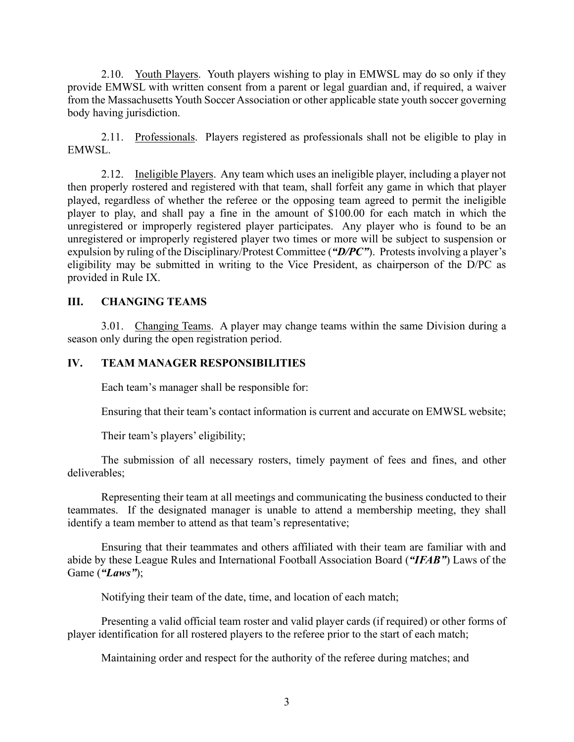2.10. Youth Players. Youth players wishing to play in EMWSL may do so only if they provide EMWSL with written consent from a parent or legal guardian and, if required, a waiver from the Massachusetts Youth Soccer Association or other applicable state youth soccer governing body having jurisdiction.

2.11. Professionals. Players registered as professionals shall not be eligible to play in EMWSL.

2.12. Ineligible Players. Any team which uses an ineligible player, including a player not then properly rostered and registered with that team, shall forfeit any game in which that player played, regardless of whether the referee or the opposing team agreed to permit the ineligible player to play, and shall pay a fine in the amount of \$100.00 for each match in which the unregistered or improperly registered player participates. Any player who is found to be an unregistered or improperly registered player two times or more will be subject to suspension or expulsion by ruling of the Disciplinary/Protest Committee (*"D/PC"*). Protests involving a player's eligibility may be submitted in writing to the Vice President, as chairperson of the D/PC as provided in Rule IX.

# **III. CHANGING TEAMS**

3.01. Changing Teams. A player may change teams within the same Division during a season only during the open registration period.

## **IV. TEAM MANAGER RESPONSIBILITIES**

Each team's manager shall be responsible for:

Ensuring that their team's contact information is current and accurate on EMWSL website;

Their team's players' eligibility;

The submission of all necessary rosters, timely payment of fees and fines, and other deliverables;

Representing their team at all meetings and communicating the business conducted to their teammates. If the designated manager is unable to attend a membership meeting, they shall identify a team member to attend as that team's representative;

Ensuring that their teammates and others affiliated with their team are familiar with and abide by these League Rules and International Football Association Board (*"IFAB"*) Laws of the Game (*"Laws"*);

Notifying their team of the date, time, and location of each match;

Presenting a valid official team roster and valid player cards (if required) or other forms of player identification for all rostered players to the referee prior to the start of each match;

Maintaining order and respect for the authority of the referee during matches; and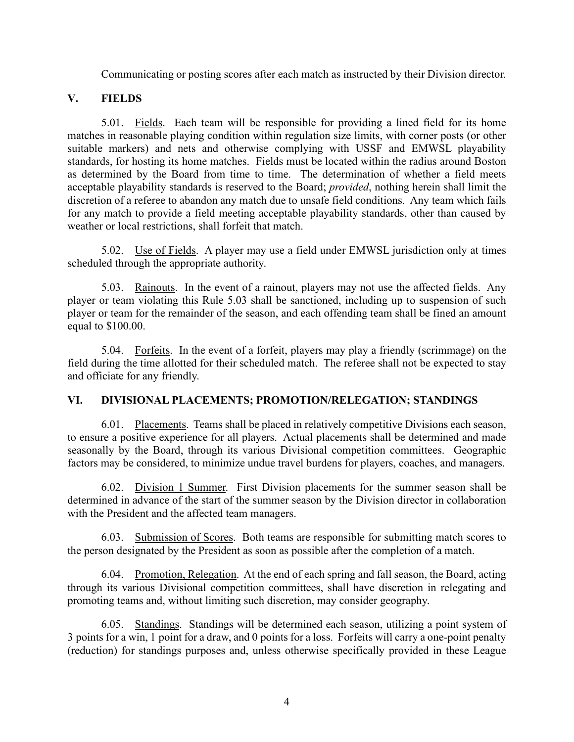Communicating or posting scores after each match as instructed by their Division director.

# **V. FIELDS**

5.01. Fields. Each team will be responsible for providing a lined field for its home matches in reasonable playing condition within regulation size limits, with corner posts (or other suitable markers) and nets and otherwise complying with USSF and EMWSL playability standards, for hosting its home matches. Fields must be located within the radius around Boston as determined by the Board from time to time. The determination of whether a field meets acceptable playability standards is reserved to the Board; *provided*, nothing herein shall limit the discretion of a referee to abandon any match due to unsafe field conditions. Any team which fails for any match to provide a field meeting acceptable playability standards, other than caused by weather or local restrictions, shall forfeit that match.

5.02. Use of Fields. A player may use a field under EMWSL jurisdiction only at times scheduled through the appropriate authority.

5.03. Rainouts. In the event of a rainout, players may not use the affected fields. Any player or team violating this Rule 5.03 shall be sanctioned, including up to suspension of such player or team for the remainder of the season, and each offending team shall be fined an amount equal to \$100.00.

5.04. Forfeits. In the event of a forfeit, players may play a friendly (scrimmage) on the field during the time allotted for their scheduled match. The referee shall not be expected to stay and officiate for any friendly.

# **VI. DIVISIONAL PLACEMENTS; PROMOTION/RELEGATION; STANDINGS**

6.01. Placements. Teams shall be placed in relatively competitive Divisions each season, to ensure a positive experience for all players. Actual placements shall be determined and made seasonally by the Board, through its various Divisional competition committees. Geographic factors may be considered, to minimize undue travel burdens for players, coaches, and managers.

6.02. Division 1 Summer. First Division placements for the summer season shall be determined in advance of the start of the summer season by the Division director in collaboration with the President and the affected team managers.

6.03. Submission of Scores. Both teams are responsible for submitting match scores to the person designated by the President as soon as possible after the completion of a match.

6.04. Promotion, Relegation. At the end of each spring and fall season, the Board, acting through its various Divisional competition committees, shall have discretion in relegating and promoting teams and, without limiting such discretion, may consider geography.

6.05. Standings. Standings will be determined each season, utilizing a point system of 3 points for a win, 1 point for a draw, and 0 points for a loss. Forfeits will carry a one-point penalty (reduction) for standings purposes and, unless otherwise specifically provided in these League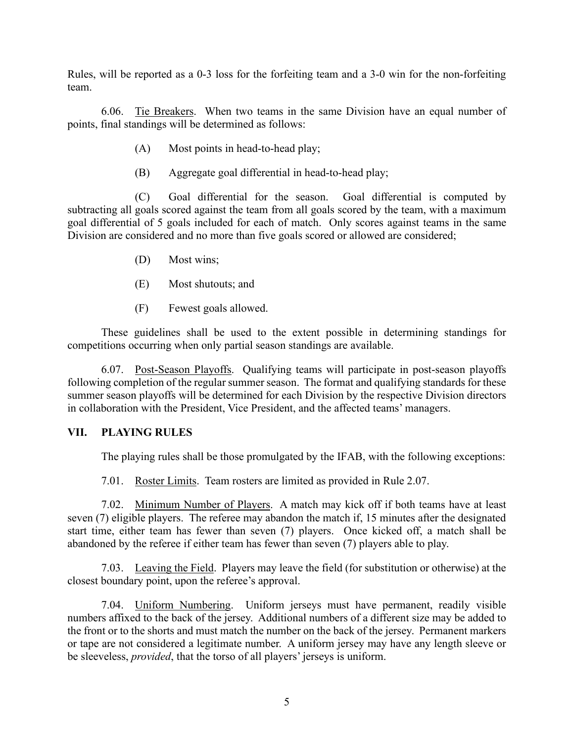Rules, will be reported as a 0-3 loss for the forfeiting team and a 3-0 win for the non-forfeiting team.

6.06. Tie Breakers. When two teams in the same Division have an equal number of points, final standings will be determined as follows:

- (A) Most points in head-to-head play;
- (B) Aggregate goal differential in head-to-head play;

(C) Goal differential for the season. Goal differential is computed by subtracting all goals scored against the team from all goals scored by the team, with a maximum goal differential of 5 goals included for each of match. Only scores against teams in the same Division are considered and no more than five goals scored or allowed are considered;

- (D) Most wins;
- (E) Most shutouts; and
- (F) Fewest goals allowed.

These guidelines shall be used to the extent possible in determining standings for competitions occurring when only partial season standings are available.

6.07. Post-Season Playoffs. Qualifying teams will participate in post-season playoffs following completion of the regular summer season. The format and qualifying standards for these summer season playoffs will be determined for each Division by the respective Division directors in collaboration with the President, Vice President, and the affected teams' managers.

## **VII. PLAYING RULES**

The playing rules shall be those promulgated by the IFAB, with the following exceptions:

7.01. Roster Limits. Team rosters are limited as provided in Rule 2.07.

7.02. Minimum Number of Players. A match may kick off if both teams have at least seven (7) eligible players. The referee may abandon the match if, 15 minutes after the designated start time, either team has fewer than seven (7) players. Once kicked off, a match shall be abandoned by the referee if either team has fewer than seven (7) players able to play.

7.03. Leaving the Field. Players may leave the field (for substitution or otherwise) at the closest boundary point, upon the referee's approval.

7.04. Uniform Numbering. Uniform jerseys must have permanent, readily visible numbers affixed to the back of the jersey. Additional numbers of a different size may be added to the front or to the shorts and must match the number on the back of the jersey. Permanent markers or tape are not considered a legitimate number. A uniform jersey may have any length sleeve or be sleeveless, *provided*, that the torso of all players' jerseys is uniform.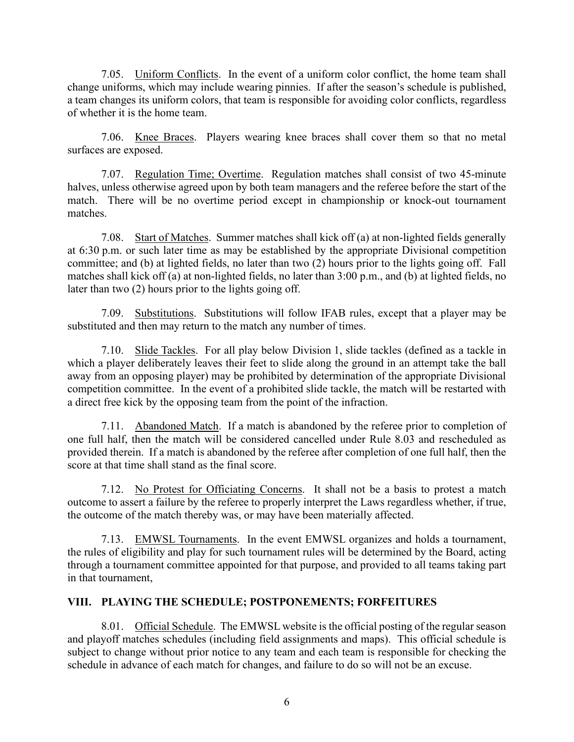7.05. Uniform Conflicts. In the event of a uniform color conflict, the home team shall change uniforms, which may include wearing pinnies. If after the season's schedule is published, a team changes its uniform colors, that team is responsible for avoiding color conflicts, regardless of whether it is the home team.

7.06. Knee Braces. Players wearing knee braces shall cover them so that no metal surfaces are exposed.

7.07. Regulation Time; Overtime. Regulation matches shall consist of two 45-minute halves, unless otherwise agreed upon by both team managers and the referee before the start of the match. There will be no overtime period except in championship or knock-out tournament matches.

7.08. Start of Matches. Summer matches shall kick off (a) at non-lighted fields generally at 6:30 p.m. or such later time as may be established by the appropriate Divisional competition committee; and (b) at lighted fields, no later than two (2) hours prior to the lights going off. Fall matches shall kick off (a) at non-lighted fields, no later than 3:00 p.m., and (b) at lighted fields, no later than two (2) hours prior to the lights going off.

7.09. Substitutions. Substitutions will follow IFAB rules, except that a player may be substituted and then may return to the match any number of times.

7.10. Slide Tackles. For all play below Division 1, slide tackles (defined as a tackle in which a player deliberately leaves their feet to slide along the ground in an attempt take the ball away from an opposing player) may be prohibited by determination of the appropriate Divisional competition committee. In the event of a prohibited slide tackle, the match will be restarted with a direct free kick by the opposing team from the point of the infraction.

7.11. Abandoned Match. If a match is abandoned by the referee prior to completion of one full half, then the match will be considered cancelled under Rule 8.03 and rescheduled as provided therein. If a match is abandoned by the referee after completion of one full half, then the score at that time shall stand as the final score.

7.12. No Protest for Officiating Concerns. It shall not be a basis to protest a match outcome to assert a failure by the referee to properly interpret the Laws regardless whether, if true, the outcome of the match thereby was, or may have been materially affected.

7.13. EMWSL Tournaments. In the event EMWSL organizes and holds a tournament, the rules of eligibility and play for such tournament rules will be determined by the Board, acting through a tournament committee appointed for that purpose, and provided to all teams taking part in that tournament,

# **VIII. PLAYING THE SCHEDULE; POSTPONEMENTS; FORFEITURES**

8.01. Official Schedule. The EMWSL website is the official posting of the regular season and playoff matches schedules (including field assignments and maps). This official schedule is subject to change without prior notice to any team and each team is responsible for checking the schedule in advance of each match for changes, and failure to do so will not be an excuse.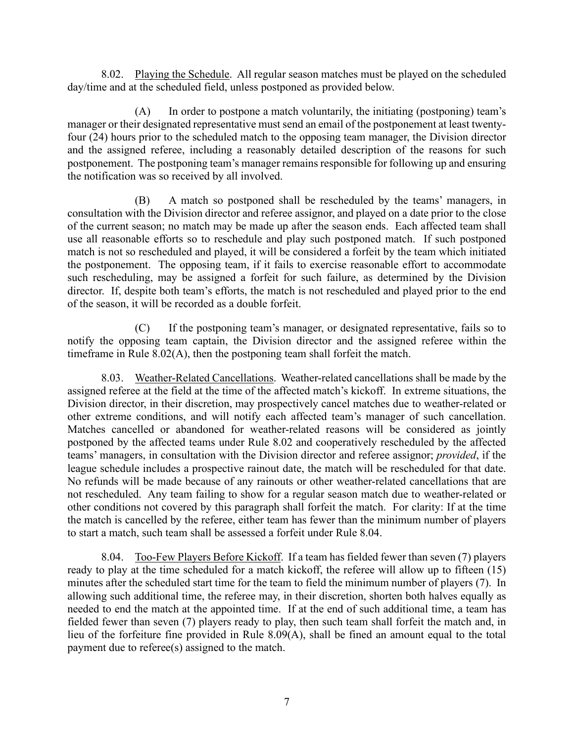8.02. Playing the Schedule. All regular season matches must be played on the scheduled day/time and at the scheduled field, unless postponed as provided below.

(A) In order to postpone a match voluntarily, the initiating (postponing) team's manager or their designated representative must send an email of the postponement at least twentyfour (24) hours prior to the scheduled match to the opposing team manager, the Division director and the assigned referee, including a reasonably detailed description of the reasons for such postponement. The postponing team's manager remains responsible for following up and ensuring the notification was so received by all involved.

(B) A match so postponed shall be rescheduled by the teams' managers, in consultation with the Division director and referee assignor, and played on a date prior to the close of the current season; no match may be made up after the season ends. Each affected team shall use all reasonable efforts so to reschedule and play such postponed match. If such postponed match is not so rescheduled and played, it will be considered a forfeit by the team which initiated the postponement. The opposing team, if it fails to exercise reasonable effort to accommodate such rescheduling, may be assigned a forfeit for such failure, as determined by the Division director. If, despite both team's efforts, the match is not rescheduled and played prior to the end of the season, it will be recorded as a double forfeit.

(C) If the postponing team's manager, or designated representative, fails so to notify the opposing team captain, the Division director and the assigned referee within the timeframe in Rule 8.02(A), then the postponing team shall forfeit the match.

8.03. Weather-Related Cancellations. Weather-related cancellations shall be made by the assigned referee at the field at the time of the affected match's kickoff. In extreme situations, the Division director, in their discretion, may prospectively cancel matches due to weather-related or other extreme conditions, and will notify each affected team's manager of such cancellation. Matches cancelled or abandoned for weather-related reasons will be considered as jointly postponed by the affected teams under Rule 8.02 and cooperatively rescheduled by the affected teams' managers, in consultation with the Division director and referee assignor; *provided*, if the league schedule includes a prospective rainout date, the match will be rescheduled for that date. No refunds will be made because of any rainouts or other weather-related cancellations that are not rescheduled. Any team failing to show for a regular season match due to weather-related or other conditions not covered by this paragraph shall forfeit the match. For clarity: If at the time the match is cancelled by the referee, either team has fewer than the minimum number of players to start a match, such team shall be assessed a forfeit under Rule 8.04.

8.04. Too-Few Players Before Kickoff. If a team has fielded fewer than seven (7) players ready to play at the time scheduled for a match kickoff, the referee will allow up to fifteen (15) minutes after the scheduled start time for the team to field the minimum number of players (7). In allowing such additional time, the referee may, in their discretion, shorten both halves equally as needed to end the match at the appointed time. If at the end of such additional time, a team has fielded fewer than seven (7) players ready to play, then such team shall forfeit the match and, in lieu of the forfeiture fine provided in Rule 8.09(A), shall be fined an amount equal to the total payment due to referee(s) assigned to the match.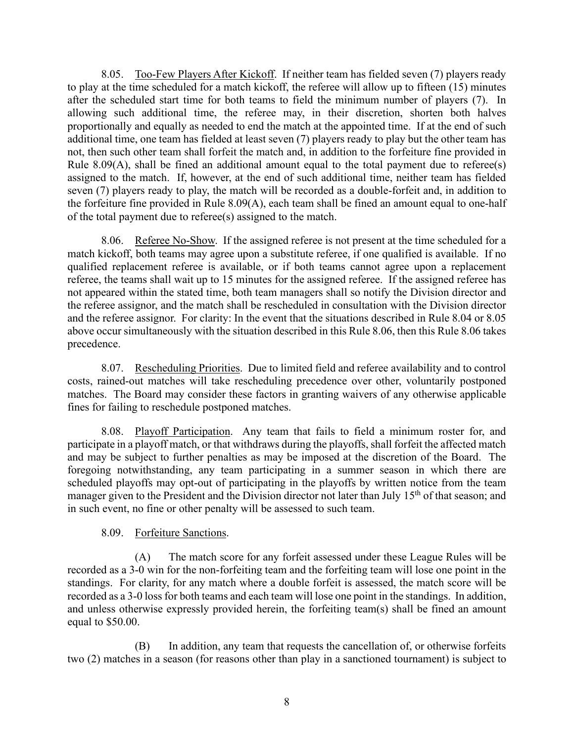8.05. Too-Few Players After Kickoff. If neither team has fielded seven (7) players ready to play at the time scheduled for a match kickoff, the referee will allow up to fifteen (15) minutes after the scheduled start time for both teams to field the minimum number of players (7). In allowing such additional time, the referee may, in their discretion, shorten both halves proportionally and equally as needed to end the match at the appointed time. If at the end of such additional time, one team has fielded at least seven (7) players ready to play but the other team has not, then such other team shall forfeit the match and, in addition to the forfeiture fine provided in Rule 8.09(A), shall be fined an additional amount equal to the total payment due to referee(s) assigned to the match. If, however, at the end of such additional time, neither team has fielded seven (7) players ready to play, the match will be recorded as a double-forfeit and, in addition to the forfeiture fine provided in Rule 8.09(A), each team shall be fined an amount equal to one-half of the total payment due to referee(s) assigned to the match.

8.06. Referee No-Show. If the assigned referee is not present at the time scheduled for a match kickoff, both teams may agree upon a substitute referee, if one qualified is available. If no qualified replacement referee is available, or if both teams cannot agree upon a replacement referee, the teams shall wait up to 15 minutes for the assigned referee. If the assigned referee has not appeared within the stated time, both team managers shall so notify the Division director and the referee assignor, and the match shall be rescheduled in consultation with the Division director and the referee assignor. For clarity: In the event that the situations described in Rule 8.04 or 8.05 above occur simultaneously with the situation described in this Rule 8.06, then this Rule 8.06 takes precedence.

8.07. Rescheduling Priorities. Due to limited field and referee availability and to control costs, rained-out matches will take rescheduling precedence over other, voluntarily postponed matches. The Board may consider these factors in granting waivers of any otherwise applicable fines for failing to reschedule postponed matches.

8.08. Playoff Participation. Any team that fails to field a minimum roster for, and participate in a playoff match, or that withdraws during the playoffs, shall forfeit the affected match and may be subject to further penalties as may be imposed at the discretion of the Board. The foregoing notwithstanding, any team participating in a summer season in which there are scheduled playoffs may opt-out of participating in the playoffs by written notice from the team manager given to the President and the Division director not later than July 15<sup>th</sup> of that season; and in such event, no fine or other penalty will be assessed to such team.

# 8.09. Forfeiture Sanctions.

(A) The match score for any forfeit assessed under these League Rules will be recorded as a 3-0 win for the non-forfeiting team and the forfeiting team will lose one point in the standings. For clarity, for any match where a double forfeit is assessed, the match score will be recorded as a 3-0 loss for both teams and each team will lose one point in the standings. In addition, and unless otherwise expressly provided herein, the forfeiting team(s) shall be fined an amount equal to \$50.00.

(B) In addition, any team that requests the cancellation of, or otherwise forfeits two (2) matches in a season (for reasons other than play in a sanctioned tournament) is subject to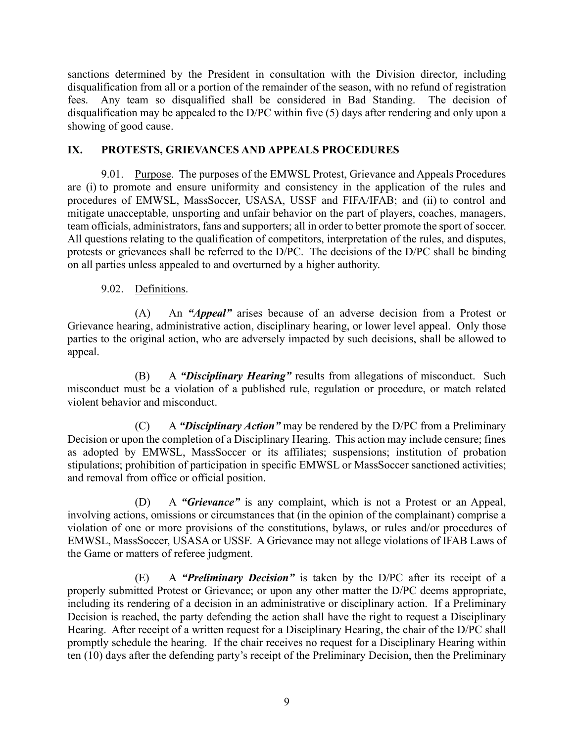sanctions determined by the President in consultation with the Division director, including disqualification from all or a portion of the remainder of the season, with no refund of registration fees. Any team so disqualified shall be considered in Bad Standing. The decision of disqualification may be appealed to the D/PC within five (5) days after rendering and only upon a showing of good cause.

# **IX. PROTESTS, GRIEVANCES AND APPEALS PROCEDURES**

9.01. Purpose. The purposes of the EMWSL Protest, Grievance and Appeals Procedures are (i) to promote and ensure uniformity and consistency in the application of the rules and procedures of EMWSL, MassSoccer, USASA, USSF and FIFA/IFAB; and (ii) to control and mitigate unacceptable, unsporting and unfair behavior on the part of players, coaches, managers, team officials, administrators, fans and supporters; all in order to better promote the sport of soccer. All questions relating to the qualification of competitors, interpretation of the rules, and disputes, protests or grievances shall be referred to the D/PC. The decisions of the D/PC shall be binding on all parties unless appealed to and overturned by a higher authority.

## 9.02. Definitions.

(A) An *"Appeal"* arises because of an adverse decision from a Protest or Grievance hearing, administrative action, disciplinary hearing, or lower level appeal. Only those parties to the original action, who are adversely impacted by such decisions, shall be allowed to appeal.

(B) A *"Disciplinary Hearing"* results from allegations of misconduct. Such misconduct must be a violation of a published rule, regulation or procedure, or match related violent behavior and misconduct.

(C) A *"Disciplinary Action"* may be rendered by the D/PC from a Preliminary Decision or upon the completion of a Disciplinary Hearing. This action may include censure; fines as adopted by EMWSL, MassSoccer or its affiliates; suspensions; institution of probation stipulations; prohibition of participation in specific EMWSL or MassSoccer sanctioned activities; and removal from office or official position.

(D) A *"Grievance"* is any complaint, which is not a Protest or an Appeal, involving actions, omissions or circumstances that (in the opinion of the complainant) comprise a violation of one or more provisions of the constitutions, bylaws, or rules and/or procedures of EMWSL, MassSoccer, USASA or USSF. A Grievance may not allege violations of IFAB Laws of the Game or matters of referee judgment.

(E) A *"Preliminary Decision"* is taken by the D/PC after its receipt of a properly submitted Protest or Grievance; or upon any other matter the D/PC deems appropriate, including its rendering of a decision in an administrative or disciplinary action. If a Preliminary Decision is reached, the party defending the action shall have the right to request a Disciplinary Hearing. After receipt of a written request for a Disciplinary Hearing, the chair of the D/PC shall promptly schedule the hearing. If the chair receives no request for a Disciplinary Hearing within ten (10) days after the defending party's receipt of the Preliminary Decision, then the Preliminary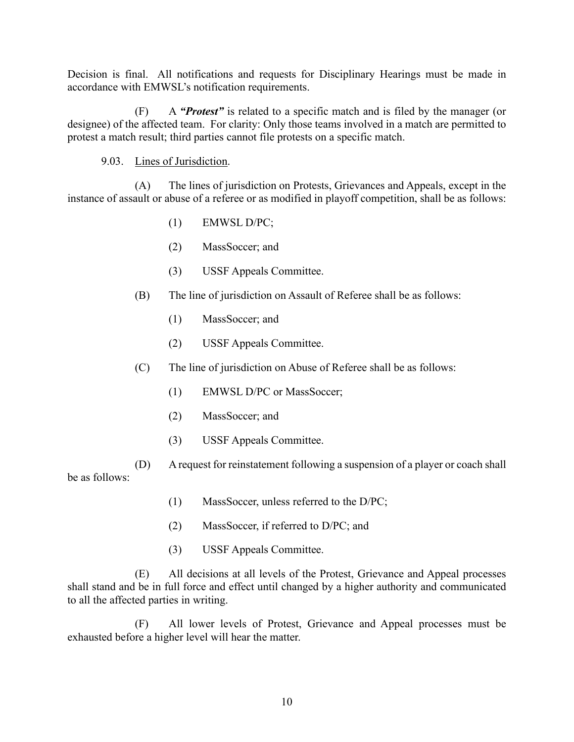Decision is final. All notifications and requests for Disciplinary Hearings must be made in accordance with EMWSL's notification requirements.

(F) A *"Protest"* is related to a specific match and is filed by the manager (or designee) of the affected team. For clarity: Only those teams involved in a match are permitted to protest a match result; third parties cannot file protests on a specific match.

# 9.03. Lines of Jurisdiction.

(A) The lines of jurisdiction on Protests, Grievances and Appeals, except in the instance of assault or abuse of a referee or as modified in playoff competition, shall be as follows:

- (1) EMWSL D/PC;
- (2) MassSoccer; and
- (3) USSF Appeals Committee.
- (B) The line of jurisdiction on Assault of Referee shall be as follows:
	- (1) MassSoccer; and
	- (2) USSF Appeals Committee.
- (C) The line of jurisdiction on Abuse of Referee shall be as follows:
	- (1) EMWSL D/PC or MassSoccer;
	- (2) MassSoccer; and
	- (3) USSF Appeals Committee.

(D) A request for reinstatement following a suspension of a player or coach shall be as follows:

- (1) MassSoccer, unless referred to the D/PC;
- (2) MassSoccer, if referred to D/PC; and
- (3) USSF Appeals Committee.

(E) All decisions at all levels of the Protest, Grievance and Appeal processes shall stand and be in full force and effect until changed by a higher authority and communicated to all the affected parties in writing.

(F) All lower levels of Protest, Grievance and Appeal processes must be exhausted before a higher level will hear the matter.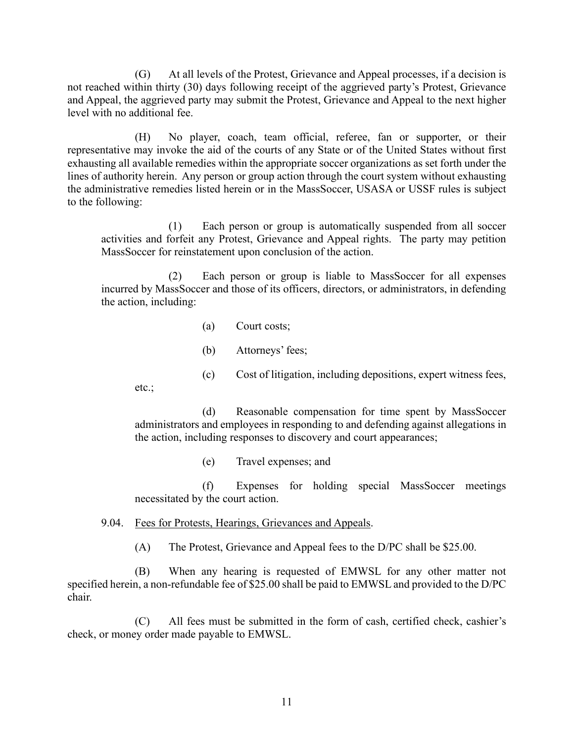(G) At all levels of the Protest, Grievance and Appeal processes, if a decision is not reached within thirty (30) days following receipt of the aggrieved party's Protest, Grievance and Appeal, the aggrieved party may submit the Protest, Grievance and Appeal to the next higher level with no additional fee.

(H) No player, coach, team official, referee, fan or supporter, or their representative may invoke the aid of the courts of any State or of the United States without first exhausting all available remedies within the appropriate soccer organizations as set forth under the lines of authority herein. Any person or group action through the court system without exhausting the administrative remedies listed herein or in the MassSoccer, USASA or USSF rules is subject to the following:

(1) Each person or group is automatically suspended from all soccer activities and forfeit any Protest, Grievance and Appeal rights. The party may petition MassSoccer for reinstatement upon conclusion of the action.

(2) Each person or group is liable to MassSoccer for all expenses incurred by MassSoccer and those of its officers, directors, or administrators, in defending the action, including:

- (a) Court costs;
- (b) Attorneys' fees;
- (c) Cost of litigation, including depositions, expert witness fees,

etc.;

(d) Reasonable compensation for time spent by MassSoccer administrators and employees in responding to and defending against allegations in the action, including responses to discovery and court appearances;

(e) Travel expenses; and

(f) Expenses for holding special MassSoccer meetings necessitated by the court action.

9.04. Fees for Protests, Hearings, Grievances and Appeals.

(A) The Protest, Grievance and Appeal fees to the D/PC shall be \$25.00.

(B) When any hearing is requested of EMWSL for any other matter not specified herein, a non-refundable fee of \$25.00 shall be paid to EMWSL and provided to the D/PC chair.

(C) All fees must be submitted in the form of cash, certified check, cashier's check, or money order made payable to EMWSL.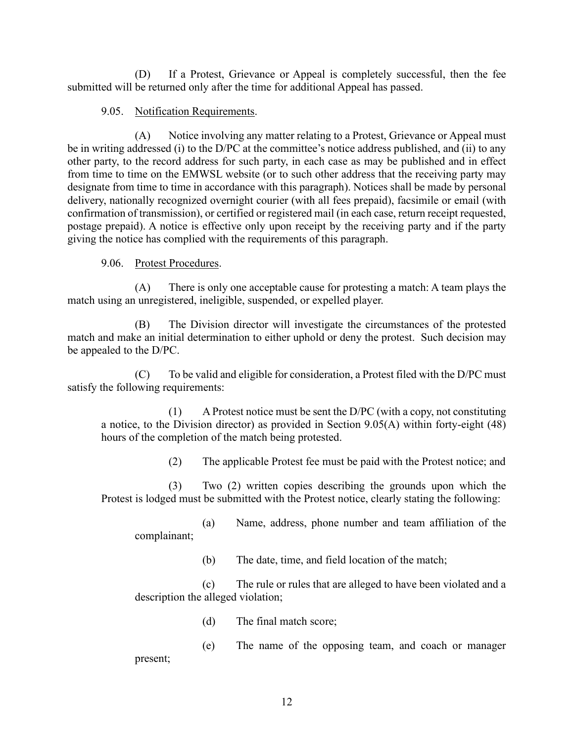(D) If a Protest, Grievance or Appeal is completely successful, then the fee submitted will be returned only after the time for additional Appeal has passed.

# 9.05. Notification Requirements.

(A) Notice involving any matter relating to a Protest, Grievance or Appeal must be in writing addressed (i) to the D/PC at the committee's notice address published, and (ii) to any other party, to the record address for such party, in each case as may be published and in effect from time to time on the EMWSL website (or to such other address that the receiving party may designate from time to time in accordance with this paragraph). Notices shall be made by personal delivery, nationally recognized overnight courier (with all fees prepaid), facsimile or email (with confirmation of transmission), or certified or registered mail (in each case, return receipt requested, postage prepaid). A notice is effective only upon receipt by the receiving party and if the party giving the notice has complied with the requirements of this paragraph.

# 9.06. Protest Procedures.

(A) There is only one acceptable cause for protesting a match: A team plays the match using an unregistered, ineligible, suspended, or expelled player.

(B) The Division director will investigate the circumstances of the protested match and make an initial determination to either uphold or deny the protest. Such decision may be appealed to the D/PC.

(C) To be valid and eligible for consideration, a Protest filed with the D/PC must satisfy the following requirements:

(1) A Protest notice must be sent the D/PC (with a copy, not constituting a notice, to the Division director) as provided in Section 9.05(A) within forty-eight (48) hours of the completion of the match being protested.

(2) The applicable Protest fee must be paid with the Protest notice; and

(3) Two (2) written copies describing the grounds upon which the Protest is lodged must be submitted with the Protest notice, clearly stating the following:

(a) Name, address, phone number and team affiliation of the complainant;

(b) The date, time, and field location of the match;

(c) The rule or rules that are alleged to have been violated and a description the alleged violation;

(d) The final match score;

(e) The name of the opposing team, and coach or manager present;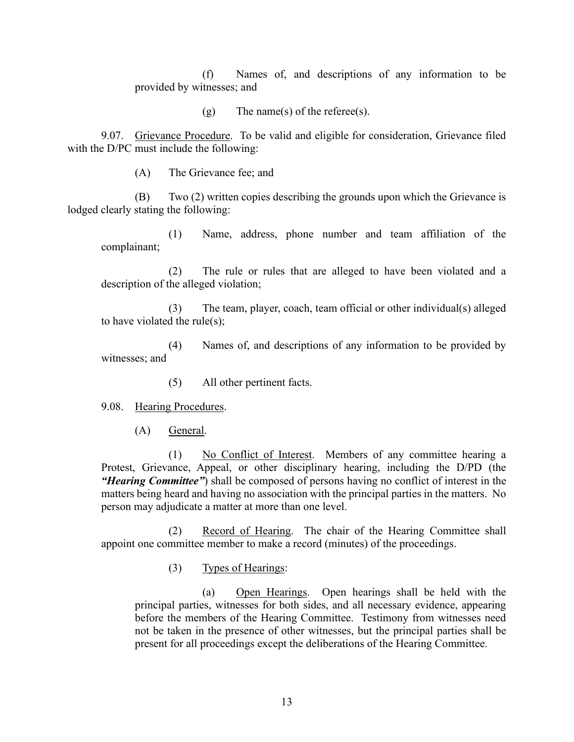(f) Names of, and descriptions of any information to be provided by witnesses; and

(g) The name(s) of the referee(s).

9.07. Grievance Procedure. To be valid and eligible for consideration, Grievance filed with the D/PC must include the following:

(A) The Grievance fee; and

(B) Two (2) written copies describing the grounds upon which the Grievance is lodged clearly stating the following:

(1) Name, address, phone number and team affiliation of the complainant;

(2) The rule or rules that are alleged to have been violated and a description of the alleged violation;

(3) The team, player, coach, team official or other individual(s) alleged to have violated the rule(s);

(4) Names of, and descriptions of any information to be provided by witnesses; and

(5) All other pertinent facts.

9.08. Hearing Procedures.

(A) General.

(1) No Conflict of Interest. Members of any committee hearing a Protest, Grievance, Appeal, or other disciplinary hearing, including the D/PD (the *"Hearing Committee"*) shall be composed of persons having no conflict of interest in the matters being heard and having no association with the principal parties in the matters. No person may adjudicate a matter at more than one level.

(2) Record of Hearing. The chair of the Hearing Committee shall appoint one committee member to make a record (minutes) of the proceedings.

(3) Types of Hearings:

(a) Open Hearings. Open hearings shall be held with the principal parties, witnesses for both sides, and all necessary evidence, appearing before the members of the Hearing Committee. Testimony from witnesses need not be taken in the presence of other witnesses, but the principal parties shall be present for all proceedings except the deliberations of the Hearing Committee.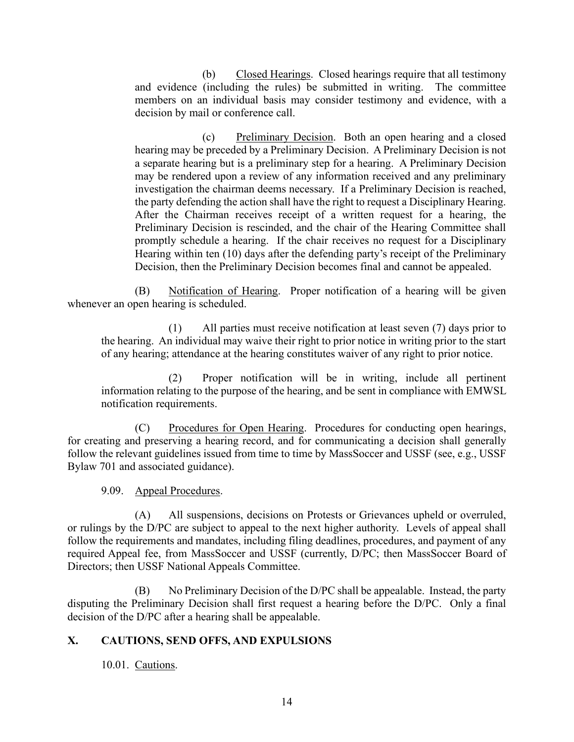(b) Closed Hearings. Closed hearings require that all testimony and evidence (including the rules) be submitted in writing. The committee members on an individual basis may consider testimony and evidence, with a decision by mail or conference call.

(c) Preliminary Decision. Both an open hearing and a closed hearing may be preceded by a Preliminary Decision. A Preliminary Decision is not a separate hearing but is a preliminary step for a hearing. A Preliminary Decision may be rendered upon a review of any information received and any preliminary investigation the chairman deems necessary. If a Preliminary Decision is reached, the party defending the action shall have the right to request a Disciplinary Hearing. After the Chairman receives receipt of a written request for a hearing, the Preliminary Decision is rescinded, and the chair of the Hearing Committee shall promptly schedule a hearing. If the chair receives no request for a Disciplinary Hearing within ten (10) days after the defending party's receipt of the Preliminary Decision, then the Preliminary Decision becomes final and cannot be appealed.

(B) Notification of Hearing. Proper notification of a hearing will be given whenever an open hearing is scheduled.

(1) All parties must receive notification at least seven (7) days prior to the hearing. An individual may waive their right to prior notice in writing prior to the start of any hearing; attendance at the hearing constitutes waiver of any right to prior notice.

(2) Proper notification will be in writing, include all pertinent information relating to the purpose of the hearing, and be sent in compliance with EMWSL notification requirements.

(C) Procedures for Open Hearing. Procedures for conducting open hearings, for creating and preserving a hearing record, and for communicating a decision shall generally follow the relevant guidelines issued from time to time by MassSoccer and USSF (see, e.g., USSF Bylaw 701 and associated guidance).

9.09. Appeal Procedures.

(A) All suspensions, decisions on Protests or Grievances upheld or overruled, or rulings by the D/PC are subject to appeal to the next higher authority. Levels of appeal shall follow the requirements and mandates, including filing deadlines, procedures, and payment of any required Appeal fee, from MassSoccer and USSF (currently, D/PC; then MassSoccer Board of Directors; then USSF National Appeals Committee.

(B) No Preliminary Decision of the D/PC shall be appealable. Instead, the party disputing the Preliminary Decision shall first request a hearing before the D/PC. Only a final decision of the D/PC after a hearing shall be appealable.

# **X. CAUTIONS, SEND OFFS, AND EXPULSIONS**

10.01. Cautions.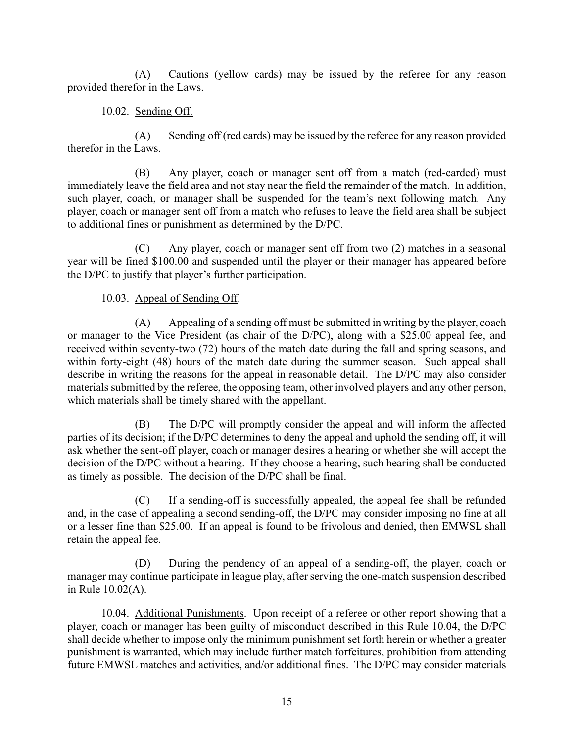(A) Cautions (yellow cards) may be issued by the referee for any reason provided therefor in the Laws.

# 10.02. Sending Off.

(A) Sending off (red cards) may be issued by the referee for any reason provided therefor in the Laws.

(B) Any player, coach or manager sent off from a match (red-carded) must immediately leave the field area and not stay near the field the remainder of the match. In addition, such player, coach, or manager shall be suspended for the team's next following match. Any player, coach or manager sent off from a match who refuses to leave the field area shall be subject to additional fines or punishment as determined by the D/PC.

(C) Any player, coach or manager sent off from two (2) matches in a seasonal year will be fined \$100.00 and suspended until the player or their manager has appeared before the D/PC to justify that player's further participation.

# 10.03. Appeal of Sending Off.

(A) Appealing of a sending off must be submitted in writing by the player, coach or manager to the Vice President (as chair of the D/PC), along with a \$25.00 appeal fee, and received within seventy-two (72) hours of the match date during the fall and spring seasons, and within forty-eight (48) hours of the match date during the summer season. Such appeal shall describe in writing the reasons for the appeal in reasonable detail. The D/PC may also consider materials submitted by the referee, the opposing team, other involved players and any other person, which materials shall be timely shared with the appellant.

(B) The D/PC will promptly consider the appeal and will inform the affected parties of its decision; if the D/PC determines to deny the appeal and uphold the sending off, it will ask whether the sent-off player, coach or manager desires a hearing or whether she will accept the decision of the D/PC without a hearing. If they choose a hearing, such hearing shall be conducted as timely as possible. The decision of the D/PC shall be final.

(C) If a sending-off is successfully appealed, the appeal fee shall be refunded and, in the case of appealing a second sending-off, the D/PC may consider imposing no fine at all or a lesser fine than \$25.00. If an appeal is found to be frivolous and denied, then EMWSL shall retain the appeal fee.

(D) During the pendency of an appeal of a sending-off, the player, coach or manager may continue participate in league play, after serving the one-match suspension described in Rule 10.02(A).

10.04. Additional Punishments. Upon receipt of a referee or other report showing that a player, coach or manager has been guilty of misconduct described in this Rule 10.04, the D/PC shall decide whether to impose only the minimum punishment set forth herein or whether a greater punishment is warranted, which may include further match forfeitures, prohibition from attending future EMWSL matches and activities, and/or additional fines. The D/PC may consider materials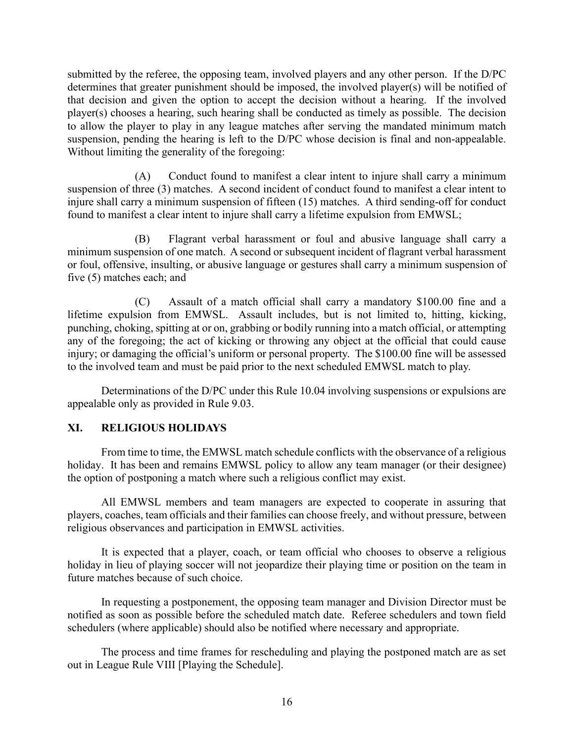submitted by the referee, the opposing team, involved players and any other person. If the D/PC determines that greater punishment should be imposed, the involved player(s) will be notified of that decision and given the option to accept the decision without a hearing. If the involved player(s) chooses a hearing, such hearing shall be conducted as timely as possible. The decision to allow the player to play in any league matches after serving the mandated minimum match suspension, pending the hearing is left to the D/PC whose decision is final and non-appealable. Without limiting the generality of the foregoing:

(A) Conduct found to manifest a clear intent to injure shall carry a minimum suspension of three (3) matches. A second incident of conduct found to manifest a clear intent to injure shall carry a minimum suspension of fifteen (15) matches. A third sending-off for conduct found to manifest a clear intent to injure shall carry a lifetime expulsion from EMWSL;

(B) Flagrant verbal harassment or foul and abusive language shall carry a minimum suspension of one match. A second or subsequent incident of flagrant verbal harassment or foul, offensive, insulting, or abusive language or gestures shall carry a minimum suspension of five (5) matches each; and

(C) Assault of a match official shall carry a mandatory \$100.00 fine and a lifetime expulsion from EMWSL. Assault includes, but is not limited to, hitting, kicking, punching, choking, spitting at or on, grabbing or bodily running into a match official, or attempting any of the foregoing; the act of kicking or throwing any object at the official that could cause injury; or damaging the official's uniform or personal property. The \$100.00 fine will be assessed to the involved team and must be paid prior to the next scheduled EMWSL match to play.

Determinations of the D/PC under this Rule 10.04 involving suspensions or expulsions are appealable only as provided in Rule 9.03.

## **XI. RELIGIOUS HOLIDAYS**

From time to time, the EMWSL match schedule conflicts with the observance of a religious holiday. It has been and remains EMWSL policy to allow any team manager (or their designee) the option of postponing a match where such a religious conflict may exist.

All EMWSL members and team managers are expected to cooperate in assuring that players, coaches, team officials and their families can choose freely, and without pressure, between religious observances and participation in EMWSL activities.

It is expected that a player, coach, or team official who chooses to observe a religious holiday in lieu of playing soccer will not jeopardize their playing time or position on the team in future matches because of such choice.

In requesting a postponement, the opposing team manager and Division Director must be notified as soon as possible before the scheduled match date. Referee schedulers and town field schedulers (where applicable) should also be notified where necessary and appropriate.

The process and time frames for rescheduling and playing the postponed match are as set out in League Rule VIII [Playing the Schedule].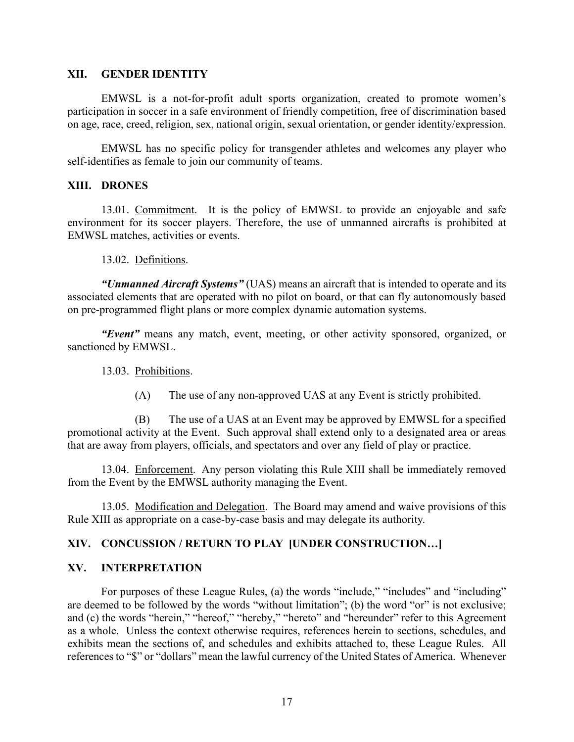#### **XII. GENDER IDENTITY**

EMWSL is a not-for-profit adult sports organization, created to promote women's participation in soccer in a safe environment of friendly competition, free of discrimination based on age, race, creed, religion, sex, national origin, sexual orientation, or gender identity/expression.

EMWSL has no specific policy for transgender athletes and welcomes any player who self-identifies as female to join our community of teams.

#### **XIII. DRONES**

13.01. Commitment. It is the policy of EMWSL to provide an enjoyable and safe environment for its soccer players. Therefore, the use of unmanned aircrafts is prohibited at EMWSL matches, activities or events.

13.02. Definitions.

*"Unmanned Aircraft Systems"* (UAS) means an aircraft that is intended to operate and its associated elements that are operated with no pilot on board, or that can fly autonomously based on pre-programmed flight plans or more complex dynamic automation systems.

*"Event"* means any match, event, meeting, or other activity sponsored, organized, or sanctioned by EMWSL.

#### 13.03. Prohibitions.

(A) The use of any non-approved UAS at any Event is strictly prohibited.

(B) The use of a UAS at an Event may be approved by EMWSL for a specified promotional activity at the Event. Such approval shall extend only to a designated area or areas that are away from players, officials, and spectators and over any field of play or practice.

13.04. Enforcement. Any person violating this Rule XIII shall be immediately removed from the Event by the EMWSL authority managing the Event.

13.05. Modification and Delegation. The Board may amend and waive provisions of this Rule XIII as appropriate on a case-by-case basis and may delegate its authority.

## **XIV. CONCUSSION / RETURN TO PLAY [UNDER CONSTRUCTION…]**

## **XV. INTERPRETATION**

For purposes of these League Rules, (a) the words "include," "includes" and "including" are deemed to be followed by the words "without limitation"; (b) the word "or" is not exclusive; and (c) the words "herein," "hereof," "hereby," "hereto" and "hereunder" refer to this Agreement as a whole. Unless the context otherwise requires, references herein to sections, schedules, and exhibits mean the sections of, and schedules and exhibits attached to, these League Rules. All references to "\$" or "dollars" mean the lawful currency of the United States of America. Whenever